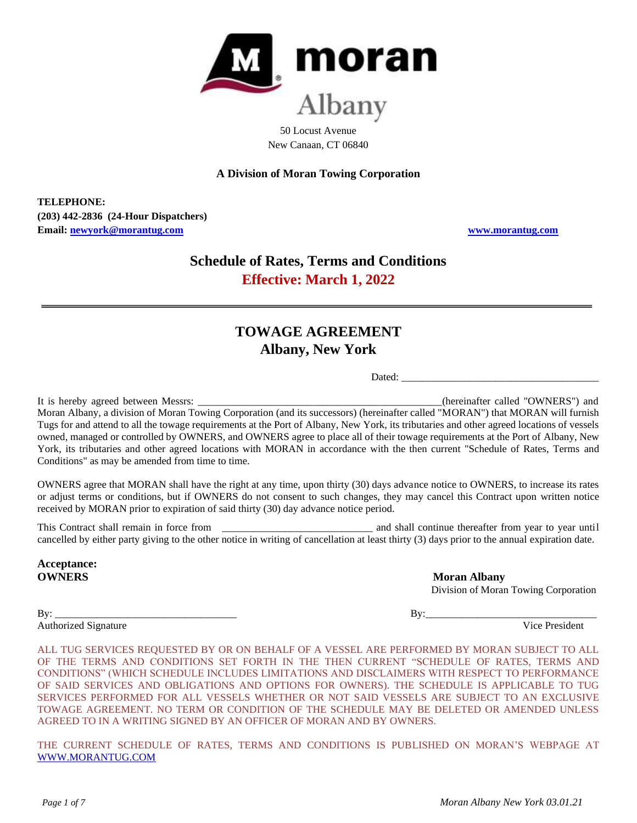

50 Locust Avenue New Canaan, CT 06840

**A Division of Moran Towing Corporation**

**TELEPHONE: (203) 442-2836 (24-Hour Dispatchers) Email: [newyork@morantug.com](mailto:newyork@morantug.com) [www.morantug.com](http://www.morantug.com/)**

# **Schedule of Rates, Terms and Conditions Effective: March 1, 2022**

# **TOWAGE AGREEMENT Albany, New York**

Dated: \_\_\_\_\_\_\_\_\_\_\_\_\_\_\_\_\_\_\_\_\_\_\_\_\_\_\_\_\_\_\_\_\_\_\_\_\_\_

It is hereby agreed between Messrs: \_\_\_\_\_\_\_\_\_\_\_\_\_\_\_\_\_\_\_\_\_\_\_\_\_\_\_\_\_\_\_\_\_\_\_\_\_\_\_\_\_\_\_\_\_\_\_(hereinafter called "OWNERS") and Moran Albany, a division of Moran Towing Corporation (and its successors) (hereinafter called "MORAN") that MORAN will furnish Tugs for and attend to all the towage requirements at the Port of Albany, New York, its tributaries and other agreed locations of vessels owned, managed or controlled by OWNERS, and OWNERS agree to place all of their towage requirements at the Port of Albany, New York, its tributaries and other agreed locations with MORAN in accordance with the then current "Schedule of Rates, Terms and Conditions" as may be amended from time to time.

OWNERS agree that MORAN shall have the right at any time, upon thirty (30) days advance notice to OWNERS, to increase its rates or adjust terms or conditions, but if OWNERS do not consent to such changes, they may cancel this Contract upon written notice received by MORAN prior to expiration of said thirty (30) day advance notice period.

This Contract shall remain in force from the state of the state of the state and shall continue thereafter from year to year until cancelled by either party giving to the other notice in writing of cancellation at least thirty (3) days prior to the annual expiration date.

**Acceptance:**

**OWNERS** Moran Albany Division of Moran Towing Corporation

By: \_\_\_\_\_\_\_\_\_\_\_\_\_\_\_\_\_\_\_\_\_\_\_\_\_\_\_\_\_\_\_\_\_\_\_ By:\_\_\_\_\_\_\_\_\_\_\_\_\_\_\_\_\_\_\_\_\_\_\_\_\_\_\_\_\_\_\_\_\_ Authorized Signature Vice President Vice President

ALL TUG SERVICES REQUESTED BY OR ON BEHALF OF A VESSEL ARE PERFORMED BY MORAN SUBJECT TO ALL OF THE TERMS AND CONDITIONS SET FORTH IN THE THEN CURRENT "SCHEDULE OF RATES, TERMS AND CONDITIONS" (WHICH SCHEDULE INCLUDES LIMITATIONS AND DISCLAIMERS WITH RESPECT TO PERFORMANCE OF SAID SERVICES AND OBLIGATIONS AND OPTIONS FOR OWNERS). THE SCHEDULE IS APPLICABLE TO TUG SERVICES PERFORMED FOR ALL VESSELS WHETHER OR NOT SAID VESSELS ARE SUBJECT TO AN EXCLUSIVE TOWAGE AGREEMENT. NO TERM OR CONDITION OF THE SCHEDULE MAY BE DELETED OR AMENDED UNLESS AGREED TO IN A WRITING SIGNED BY AN OFFICER OF MORAN AND BY OWNERS.

THE CURRENT SCHEDULE OF RATES, TERMS AND CONDITIONS IS PUBLISHED ON MORAN'S WEBPAGE AT [WWW.MORANTUG.COM](file://///MTCINFFS01/Groups/Sales/Port%20Rate%20Schedules/Current%20Schedules%20in%20Word%20and%20as%20pdf)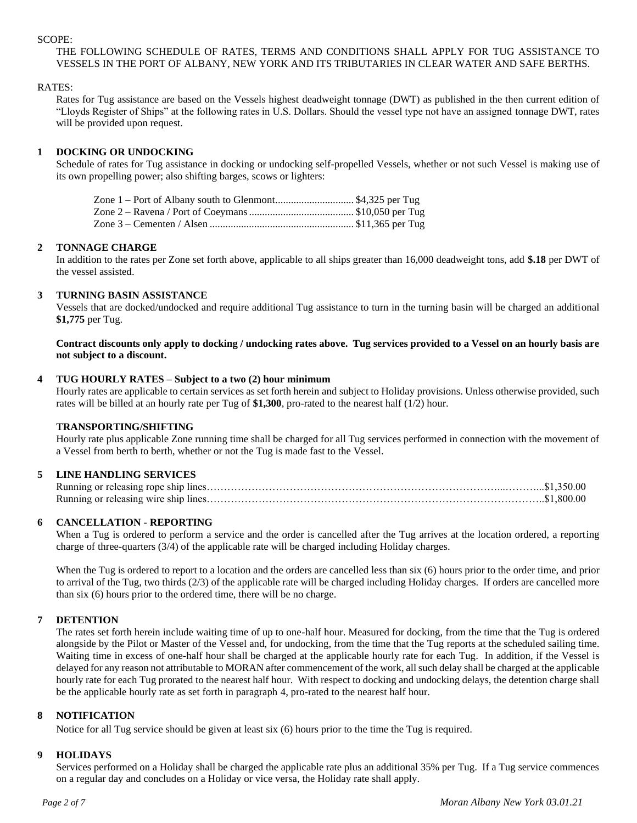#### SCOPE:

# THE FOLLOWING SCHEDULE OF RATES, TERMS AND CONDITIONS SHALL APPLY FOR TUG ASSISTANCE TO VESSELS IN THE PORT OF ALBANY, NEW YORK AND ITS TRIBUTARIES IN CLEAR WATER AND SAFE BERTHS.

## RATES:

Rates for Tug assistance are based on the Vessels highest deadweight tonnage (DWT) as published in the then current edition of "Lloyds Register of Ships" at the following rates in U.S. Dollars. Should the vessel type not have an assigned tonnage DWT, rates will be provided upon request.

## **1 DOCKING OR UNDOCKING**

Schedule of rates for Tug assistance in docking or undocking self-propelled Vessels, whether or not such Vessel is making use of its own propelling power; also shifting barges, scows or lighters:

| Zone 1 – Port of Albany south to Glenmont\$4,325 per Tug |  |
|----------------------------------------------------------|--|
|                                                          |  |
|                                                          |  |

## **2 TONNAGE CHARGE**

In addition to the rates per Zone set forth above, applicable to all ships greater than 16,000 deadweight tons, add **\$.18** per DWT of the vessel assisted.

## **3 TURNING BASIN ASSISTANCE**

Vessels that are docked/undocked and require additional Tug assistance to turn in the turning basin will be charged an additional **\$1,775** per Tug.

**Contract discounts only apply to docking / undocking rates above. Tug services provided to a Vessel on an hourly basis are not subject to a discount.**

#### **4 TUG HOURLY RATES – Subject to a two (2) hour minimum**

Hourly rates are applicable to certain services as set forth herein and subject to Holiday provisions. Unless otherwise provided, such rates will be billed at an hourly rate per Tug of **\$1,300**, pro-rated to the nearest half (1/2) hour.

## **TRANSPORTING/SHIFTING**

Hourly rate plus applicable Zone running time shall be charged for all Tug services performed in connection with the movement of a Vessel from berth to berth, whether or not the Tug is made fast to the Vessel.

# **5 LINE HANDLING SERVICES**

Running or releasing rope ship lines…………………………………………………………………………...………...\$1,350.00 Running or releasing wire ship lines……………………………………………………………………………………..\$1,800.00

## **6 CANCELLATION - REPORTING**

When a Tug is ordered to perform a service and the order is cancelled after the Tug arrives at the location ordered, a reporting charge of three-quarters (3/4) of the applicable rate will be charged including Holiday charges.

When the Tug is ordered to report to a location and the orders are cancelled less than six (6) hours prior to the order time, and prior to arrival of the Tug, two thirds (2/3) of the applicable rate will be charged including Holiday charges. If orders are cancelled more than six (6) hours prior to the ordered time, there will be no charge.

## **7 DETENTION**

The rates set forth herein include waiting time of up to one-half hour. Measured for docking, from the time that the Tug is ordered alongside by the Pilot or Master of the Vessel and, for undocking, from the time that the Tug reports at the scheduled sailing time. Waiting time in excess of one-half hour shall be charged at the applicable hourly rate for each Tug. In addition, if the Vessel is delayed for any reason not attributable to MORAN after commencement of the work, all such delay shall be charged at the applicable hourly rate for each Tug prorated to the nearest half hour. With respect to docking and undocking delays, the detention charge shall be the applicable hourly rate as set forth in paragraph 4, pro-rated to the nearest half hour.

#### **8 NOTIFICATION**

Notice for all Tug service should be given at least six (6) hours prior to the time the Tug is required.

## **9 HOLIDAYS**

Services performed on a Holiday shall be charged the applicable rate plus an additional 35% per Tug. If a Tug service commences on a regular day and concludes on a Holiday or vice versa, the Holiday rate shall apply.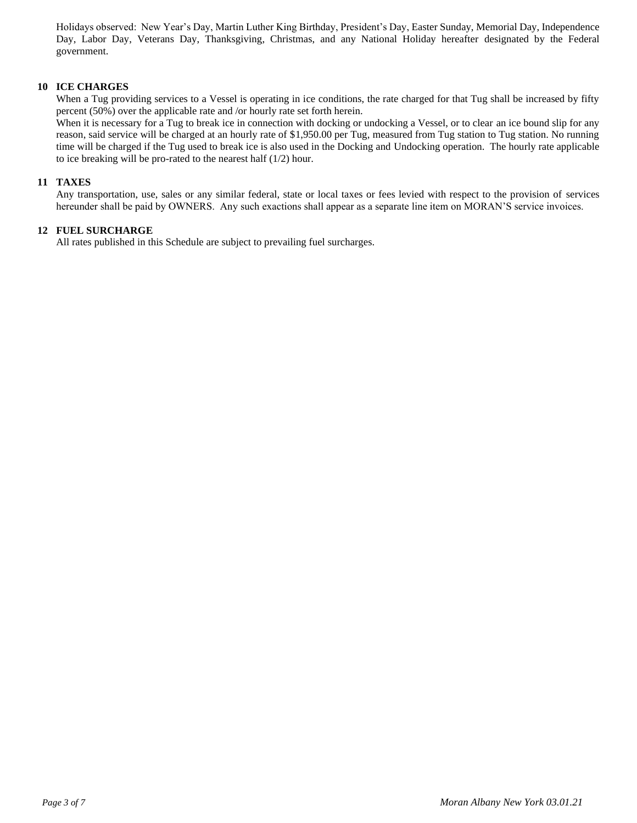Holidays observed: New Year's Day, Martin Luther King Birthday, President's Day, Easter Sunday, Memorial Day, Independence Day, Labor Day, Veterans Day, Thanksgiving, Christmas, and any National Holiday hereafter designated by the Federal government.

## **10 ICE CHARGES**

When a Tug providing services to a Vessel is operating in ice conditions, the rate charged for that Tug shall be increased by fifty percent (50%) over the applicable rate and /or hourly rate set forth herein.

When it is necessary for a Tug to break ice in connection with docking or undocking a Vessel, or to clear an ice bound slip for any reason, said service will be charged at an hourly rate of \$1,950.00 per Tug, measured from Tug station to Tug station. No running time will be charged if the Tug used to break ice is also used in the Docking and Undocking operation. The hourly rate applicable to ice breaking will be pro-rated to the nearest half (1/2) hour.

#### **11 TAXES**

Any transportation, use, sales or any similar federal, state or local taxes or fees levied with respect to the provision of services hereunder shall be paid by OWNERS. Any such exactions shall appear as a separate line item on MORAN'S service invoices.

#### **12 FUEL SURCHARGE**

All rates published in this Schedule are subject to prevailing fuel surcharges.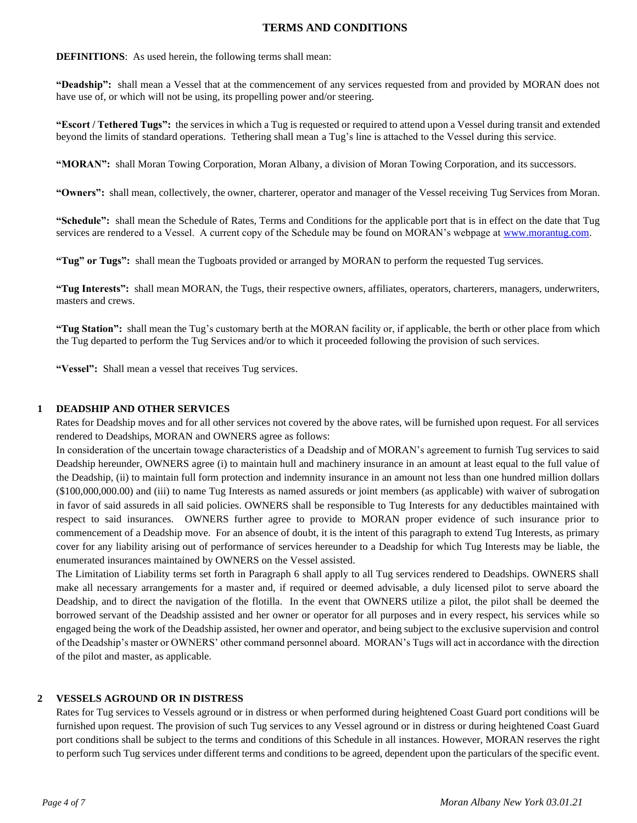# **TERMS AND CONDITIONS**

## **DEFINITIONS**: As used herein, the following terms shall mean:

**"Deadship":** shall mean a Vessel that at the commencement of any services requested from and provided by MORAN does not have use of, or which will not be using, its propelling power and/or steering.

**"Escort / Tethered Tugs":** the services in which a Tug is requested or required to attend upon a Vessel during transit and extended beyond the limits of standard operations. Tethering shall mean a Tug's line is attached to the Vessel during this service.

**"MORAN":** shall Moran Towing Corporation, Moran Albany, a division of Moran Towing Corporation, and its successors.

**"Owners":** shall mean, collectively, the owner, charterer, operator and manager of the Vessel receiving Tug Services from Moran.

**"Schedule":** shall mean the Schedule of Rates, Terms and Conditions for the applicable port that is in effect on the date that Tug services are rendered to a Vessel. A current copy of the Schedule may be found on MORAN's webpage at [www.morantug.com.](http://www.morantug.com/)

**"Tug" or Tugs":** shall mean the Tugboats provided or arranged by MORAN to perform the requested Tug services.

**"Tug Interests":** shall mean MORAN, the Tugs, their respective owners, affiliates, operators, charterers, managers, underwriters, masters and crews.

**"Tug Station":** shall mean the Tug's customary berth at the MORAN facility or, if applicable, the berth or other place from which the Tug departed to perform the Tug Services and/or to which it proceeded following the provision of such services.

**"Vessel":** Shall mean a vessel that receives Tug services.

## **1 DEADSHIP AND OTHER SERVICES**

Rates for Deadship moves and for all other services not covered by the above rates, will be furnished upon request. For all services rendered to Deadships, MORAN and OWNERS agree as follows:

In consideration of the uncertain towage characteristics of a Deadship and of MORAN's agreement to furnish Tug services to said Deadship hereunder, OWNERS agree (i) to maintain hull and machinery insurance in an amount at least equal to the full value of the Deadship, (ii) to maintain full form protection and indemnity insurance in an amount not less than one hundred million dollars (\$100,000,000.00) and (iii) to name Tug Interests as named assureds or joint members (as applicable) with waiver of subrogation in favor of said assureds in all said policies. OWNERS shall be responsible to Tug Interests for any deductibles maintained with respect to said insurances. OWNERS further agree to provide to MORAN proper evidence of such insurance prior to commencement of a Deadship move. For an absence of doubt, it is the intent of this paragraph to extend Tug Interests, as primary cover for any liability arising out of performance of services hereunder to a Deadship for which Tug Interests may be liable, the enumerated insurances maintained by OWNERS on the Vessel assisted.

The Limitation of Liability terms set forth in Paragraph 6 shall apply to all Tug services rendered to Deadships. OWNERS shall make all necessary arrangements for a master and, if required or deemed advisable, a duly licensed pilot to serve aboard the Deadship, and to direct the navigation of the flotilla. In the event that OWNERS utilize a pilot, the pilot shall be deemed the borrowed servant of the Deadship assisted and her owner or operator for all purposes and in every respect, his services while so engaged being the work of the Deadship assisted, her owner and operator, and being subject to the exclusive supervision and control of the Deadship's master or OWNERS' other command personnel aboard. MORAN's Tugs will act in accordance with the direction of the pilot and master, as applicable.

## **2 VESSELS AGROUND OR IN DISTRESS**

Rates for Tug services to Vessels aground or in distress or when performed during heightened Coast Guard port conditions will be furnished upon request. The provision of such Tug services to any Vessel aground or in distress or during heightened Coast Guard port conditions shall be subject to the terms and conditions of this Schedule in all instances. However, MORAN reserves the right to perform such Tug services under different terms and conditions to be agreed, dependent upon the particulars of the specific event.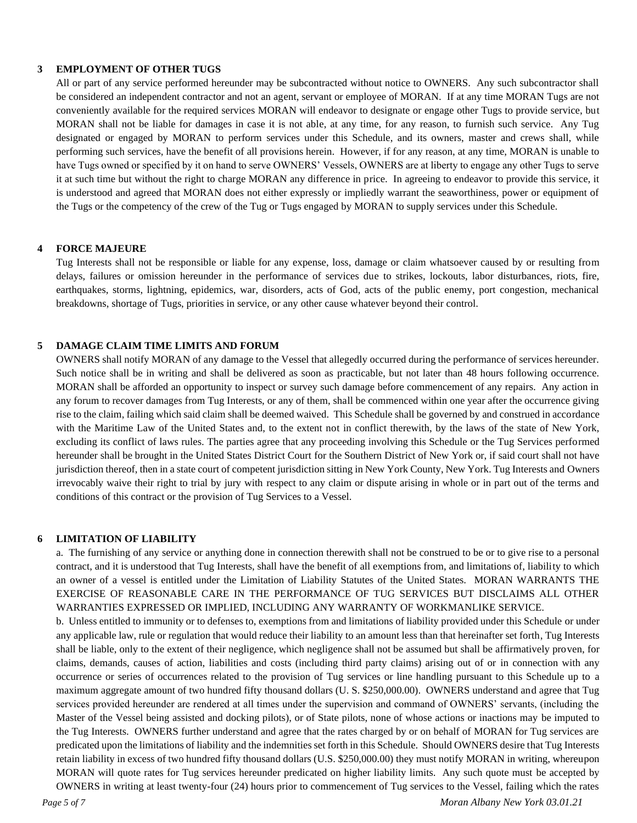# **3 EMPLOYMENT OF OTHER TUGS**

All or part of any service performed hereunder may be subcontracted without notice to OWNERS. Any such subcontractor shall be considered an independent contractor and not an agent, servant or employee of MORAN. If at any time MORAN Tugs are not conveniently available for the required services MORAN will endeavor to designate or engage other Tugs to provide service, but MORAN shall not be liable for damages in case it is not able, at any time, for any reason, to furnish such service. Any Tug designated or engaged by MORAN to perform services under this Schedule, and its owners, master and crews shall, while performing such services, have the benefit of all provisions herein. However, if for any reason, at any time, MORAN is unable to have Tugs owned or specified by it on hand to serve OWNERS' Vessels, OWNERS are at liberty to engage any other Tugs to serve it at such time but without the right to charge MORAN any difference in price. In agreeing to endeavor to provide this service, it is understood and agreed that MORAN does not either expressly or impliedly warrant the seaworthiness, power or equipment of the Tugs or the competency of the crew of the Tug or Tugs engaged by MORAN to supply services under this Schedule.

#### **4 FORCE MAJEURE**

Tug Interests shall not be responsible or liable for any expense, loss, damage or claim whatsoever caused by or resulting from delays, failures or omission hereunder in the performance of services due to strikes, lockouts, labor disturbances, riots, fire, earthquakes, storms, lightning, epidemics, war, disorders, acts of God, acts of the public enemy, port congestion, mechanical breakdowns, shortage of Tugs, priorities in service, or any other cause whatever beyond their control.

#### **5 DAMAGE CLAIM TIME LIMITS AND FORUM**

OWNERS shall notify MORAN of any damage to the Vessel that allegedly occurred during the performance of services hereunder. Such notice shall be in writing and shall be delivered as soon as practicable, but not later than 48 hours following occurrence. MORAN shall be afforded an opportunity to inspect or survey such damage before commencement of any repairs. Any action in any forum to recover damages from Tug Interests, or any of them, shall be commenced within one year after the occurrence giving rise to the claim, failing which said claim shall be deemed waived. This Schedule shall be governed by and construed in accordance with the Maritime Law of the United States and, to the extent not in conflict therewith, by the laws of the state of New York, excluding its conflict of laws rules. The parties agree that any proceeding involving this Schedule or the Tug Services performed hereunder shall be brought in the United States District Court for the Southern District of New York or, if said court shall not have jurisdiction thereof, then in a state court of competent jurisdiction sitting in New York County, New York. Tug Interests and Owners irrevocably waive their right to trial by jury with respect to any claim or dispute arising in whole or in part out of the terms and conditions of this contract or the provision of Tug Services to a Vessel.

#### **6 LIMITATION OF LIABILITY**

a. The furnishing of any service or anything done in connection therewith shall not be construed to be or to give rise to a personal contract, and it is understood that Tug Interests, shall have the benefit of all exemptions from, and limitations of, liability to which an owner of a vessel is entitled under the Limitation of Liability Statutes of the United States. MORAN WARRANTS THE EXERCISE OF REASONABLE CARE IN THE PERFORMANCE OF TUG SERVICES BUT DISCLAIMS ALL OTHER WARRANTIES EXPRESSED OR IMPLIED, INCLUDING ANY WARRANTY OF WORKMANLIKE SERVICE.

b. Unless entitled to immunity or to defenses to, exemptions from and limitations of liability provided under this Schedule or under any applicable law, rule or regulation that would reduce their liability to an amount less than that hereinafter set forth, Tug Interests shall be liable, only to the extent of their negligence, which negligence shall not be assumed but shall be affirmatively proven, for claims, demands, causes of action, liabilities and costs (including third party claims) arising out of or in connection with any occurrence or series of occurrences related to the provision of Tug services or line handling pursuant to this Schedule up to a maximum aggregate amount of two hundred fifty thousand dollars (U. S. \$250,000.00). OWNERS understand and agree that Tug services provided hereunder are rendered at all times under the supervision and command of OWNERS' servants, (including the Master of the Vessel being assisted and docking pilots), or of State pilots, none of whose actions or inactions may be imputed to the Tug Interests. OWNERS further understand and agree that the rates charged by or on behalf of MORAN for Tug services are predicated upon the limitations of liability and the indemnities set forth in this Schedule. Should OWNERS desire that Tug Interests retain liability in excess of two hundred fifty thousand dollars (U.S. \$250,000.00) they must notify MORAN in writing, whereupon MORAN will quote rates for Tug services hereunder predicated on higher liability limits. Any such quote must be accepted by OWNERS in writing at least twenty-four (24) hours prior to commencement of Tug services to the Vessel, failing which the rates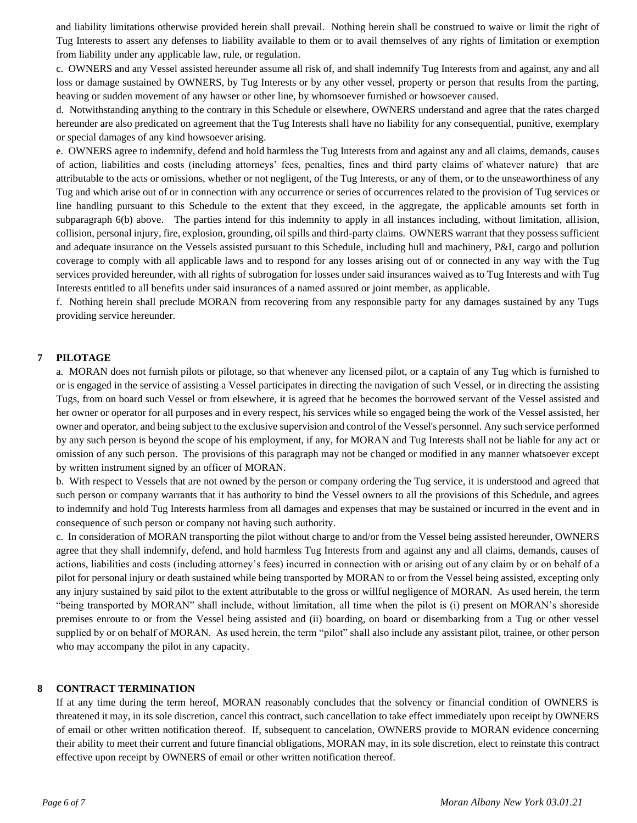and liability limitations otherwise provided herein shall prevail. Nothing herein shall be construed to waive or limit the right of Tug Interests to assert any defenses to liability available to them or to avail themselves of any rights of limitation or exemption from liability under any applicable law, rule, or regulation.

c. OWNERS and any Vessel assisted hereunder assume all risk of, and shall indemnify Tug Interests from and against, any and all loss or damage sustained by OWNERS, by Tug Interests or by any other vessel, property or person that results from the parting, heaving or sudden movement of any hawser or other line, by whomsoever furnished or howsoever caused.

d. Notwithstanding anything to the contrary in this Schedule or elsewhere, OWNERS understand and agree that the rates charged hereunder are also predicated on agreement that the Tug Interests shall have no liability for any consequential, punitive, exemplary or special damages of any kind howsoever arising.

e. OWNERS agree to indemnify, defend and hold harmless the Tug Interests from and against any and all claims, demands, causes of action, liabilities and costs (including attorneys' fees, penalties, fines and third party claims of whatever nature) that are attributable to the acts or omissions, whether or not negligent, of the Tug Interests, or any of them, or to the unseaworthiness of any Tug and which arise out of or in connection with any occurrence or series of occurrences related to the provision of Tug services or line handling pursuant to this Schedule to the extent that they exceed, in the aggregate, the applicable amounts set forth in subparagraph 6(b) above. The parties intend for this indemnity to apply in all instances including, without limitation, allision, collision, personal injury, fire, explosion, grounding, oil spills and third-party claims. OWNERS warrant that they possess sufficient and adequate insurance on the Vessels assisted pursuant to this Schedule, including hull and machinery, P&I, cargo and pollution coverage to comply with all applicable laws and to respond for any losses arising out of or connected in any way with the Tug services provided hereunder, with all rights of subrogation for losses under said insurances waived as to Tug Interests and with Tug Interests entitled to all benefits under said insurances of a named assured or joint member, as applicable.

f. Nothing herein shall preclude MORAN from recovering from any responsible party for any damages sustained by any Tugs providing service hereunder.

## **7 PILOTAGE**

a. MORAN does not furnish pilots or pilotage, so that whenever any licensed pilot, or a captain of any Tug which is furnished to or is engaged in the service of assisting a Vessel participates in directing the navigation of such Vessel, or in directing the assisting Tugs, from on board such Vessel or from elsewhere, it is agreed that he becomes the borrowed servant of the Vessel assisted and her owner or operator for all purposes and in every respect, his services while so engaged being the work of the Vessel assisted, her owner and operator, and being subject to the exclusive supervision and control of the Vessel's personnel. Any such service performed by any such person is beyond the scope of his employment, if any, for MORAN and Tug Interests shall not be liable for any act or omission of any such person. The provisions of this paragraph may not be changed or modified in any manner whatsoever except by written instrument signed by an officer of MORAN.

b. With respect to Vessels that are not owned by the person or company ordering the Tug service, it is understood and agreed that such person or company warrants that it has authority to bind the Vessel owners to all the provisions of this Schedule, and agrees to indemnify and hold Tug Interests harmless from all damages and expenses that may be sustained or incurred in the event and in consequence of such person or company not having such authority.

c. In consideration of MORAN transporting the pilot without charge to and/or from the Vessel being assisted hereunder, OWNERS agree that they shall indemnify, defend, and hold harmless Tug Interests from and against any and all claims, demands, causes of actions, liabilities and costs (including attorney's fees) incurred in connection with or arising out of any claim by or on behalf of a pilot for personal injury or death sustained while being transported by MORAN to or from the Vessel being assisted, excepting only any injury sustained by said pilot to the extent attributable to the gross or willful negligence of MORAN. As used herein, the term "being transported by MORAN" shall include, without limitation, all time when the pilot is (i) present on MORAN's shoreside premises enroute to or from the Vessel being assisted and (ii) boarding, on board or disembarking from a Tug or other vessel supplied by or on behalf of MORAN. As used herein, the term "pilot" shall also include any assistant pilot, trainee, or other person who may accompany the pilot in any capacity.

#### **8 CONTRACT TERMINATION**

If at any time during the term hereof, MORAN reasonably concludes that the solvency or financial condition of OWNERS is threatened it may, in its sole discretion, cancel this contract, such cancellation to take effect immediately upon receipt by OWNERS of email or other written notification thereof. If, subsequent to cancelation, OWNERS provide to MORAN evidence concerning their ability to meet their current and future financial obligations, MORAN may, in its sole discretion, elect to reinstate this contract effective upon receipt by OWNERS of email or other written notification thereof.